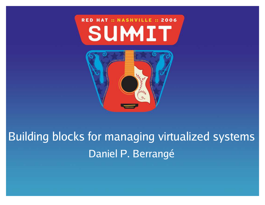#### RED HAT :: NASHVILLE :: 2006 SUMIT



Building blocks for managing virtualized systems Daniel P. Berrangé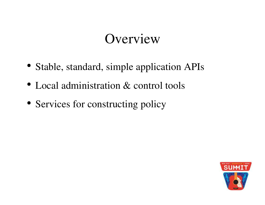## Overview

- 
- Stable, standard, simple application APIs<br>Local administration & control tools • Local administration & control tools
- Local administration & control tools<br>Services for constructing policy Services for constructing policy

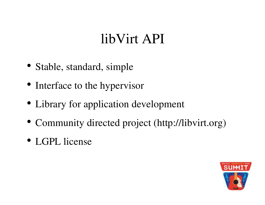## libVirt API

- Stable, standard, simple
- Stable, standard, simple<br>Interface to the hypervis
- Interface to the hypervisor<br>Library for application dev • Library for application development
- Library for application development<br>Community directed project (http://l Community directed project (http://libvirt.org)<br>LGPL license
- LGPL license

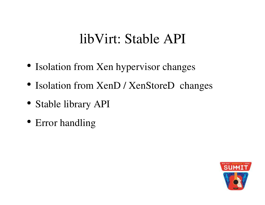#### libVirt: Stable API

- Isolation from Xen hypervisor changes
- Isolation from Xen hypervisor changes<br>Isolation from XenD / XenStoreD chan Isolation from XenD / XenStoreD changes<br>Stable library API
- Stable library API<br>Error handling
- Error handling

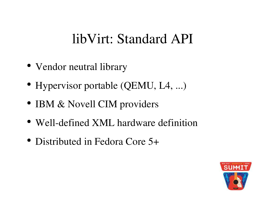#### libVirt: Standard API

- Vendor neutral library
- Vendor neutral library<br>Hypervisor portable (C Hypervisor portable (QEMU, L4, ...)<br>IBM & Novell CIM providers
- IBM & Novell CIM providers
- IBM & Novell CIM providers<br>Well-defined XML hardware Well-defined XML hardware definition<br>Distributed in Fedora Core 5+
- Distributed in Fedora Core 5+

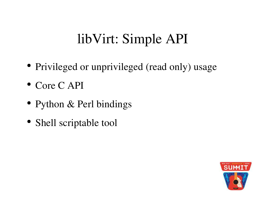# libVirt: Simple API

- Privileged or unprivileged (read only) usage<br>Core C API
- $\bullet$  Core C API
- Core C API<br>Python & P
- Python & Perl bindings<br>Shell scriptable tool Shell scriptable tool

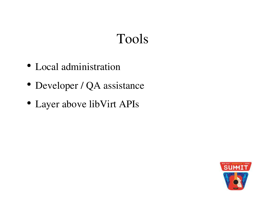# Tools

- Local administration
- Local administration<br>Developer / QA assis
- Developer / QA assistance<br>Layer above libVirt APIs Layer above libVirt APIs

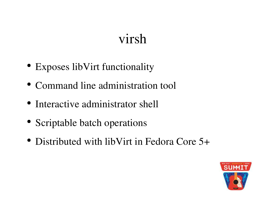## virsh

- 
- Exposes libVirt functionality<br>Command line administration
- Command line administration tool<br>Interactive administrator shell • Interactive administrator shell
- Interactive administrator shell<br>Scriptable batch operations
- Scriptable batch operations<br>Distributed with libVirt in Distributed with libVirt in Fedora Core 5+

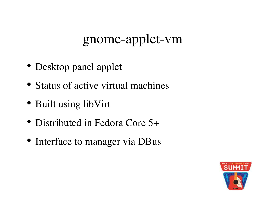## gnome-applet-vm

- 
- Desktop panel applet<br>Status of active virtual Status of active virtual machines<br>Built using libVirt
- 
- Built using libVirt<br>Distributed in Fed • Distributed in Fedora Core 5+
- Distributed in Fedora Core 5+<br>Interface to manager via DBus Interface to manager via DBus

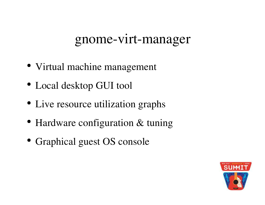#### gnome-virt-manager

- 
- Virtual machine management<br>Local desktop GUI tool
- Local desktop GUI tool<br>Live resource utilization • Live resource utilization graphs
- Live resource utilization graphs<br>Hardware configuration & tunin
- Hardware configuration & tuning<br>Graphical guest OS console Graphical gues<sup>t</sup> OS console

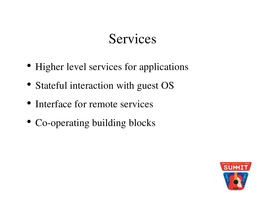### Services

- 
- Higher level services for applications<br>Stateful interaction with guest OS
- Stateful interaction with guest OS<br>Interface for remote services • Interface for remote services
- Interface for remote services<br>Co-operating building blocks Co-operating building blocks

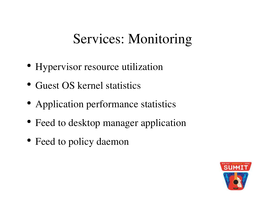## Services: Monitoring

- Hypervisor resource utilization<br>Guest OS kernel statistics
- Guest OS kernel statistics
- Guest OS kernel statistics<br>Application performance
- Application performance statistics<br>Feed to desktop manager application Feed to desktop manager application<br>Feed to policy daemon
- Feed to policy daemon

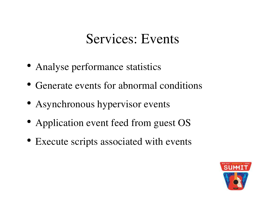#### Services: Events

- 
- Analyse performance statistics<br>Generate events for abnormal • Generate events for abnormal conditions
- Generate events for abnormal conditions<br>Asynchronous hypervisor events
- Asynchronous hypervisor events<br>Application event feed from gues
- Application event feed from guest OS<br>Execute scripts associated with events Execute scripts associated with events

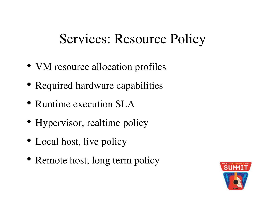### Services: Resource Policy

- VM resource allocation profiles
- VM resource allocation profiles<br>Required hardware capabilities Required hardware capabilities<br>Runtime execution SLA
- Runtime execution SLA
- Runtime execution SLA<br>Hypervisor, realtime pol Hypervisor, realtime policy<br>Local host, live policy
- Local host, live policy
- Local host, live policy<br>Remote host, long tern Remote host, long term policy